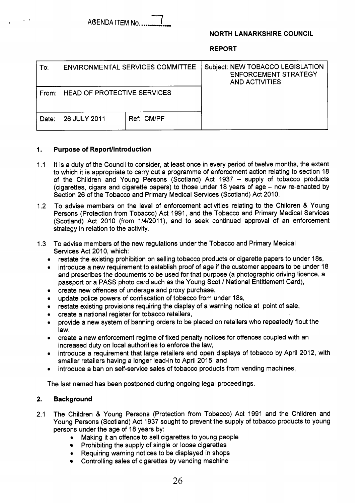

## **NORTH LANARKSHIRE COUNCIL**

**REPORT** 

| To:   | <b>ENVIRONMENTAL SERVICES COMMITTEE</b> |            | Subject: NEW TOBACCO LEGISLATION<br><b>ENFORCEMENT STRATEGY</b><br><b>AND ACTIVITIES</b> |
|-------|-----------------------------------------|------------|------------------------------------------------------------------------------------------|
|       | From: HEAD OF PROTECTIVE SERVICES       |            |                                                                                          |
| Date: | 26 JULY 2011                            | Ref: CM/PF |                                                                                          |

#### **1. Purpose of ReporUlntroduction**

- $1.1$ It is a duty of the Council to consider, at least once in every period of twelve months, the extent to which it is appropriate to carry out a programme of enforcement action relating to section 18 of the Children and Young Persons (Scotland) Act 1937 - supply of tobacco products (cigarettes, cigars and cigarette papers) to those under 18 years of age - now re-enacted by Section 26 of the Tobacco and Primary Medical Services (Scotland) Act 2010.
- 1.2 To advise members on the level of enforcement activities relating to the Children & Young Persons (Protection from Tobacco) Act 1991, and the Tobacco and Primary Medical Services (Scotland) Act 2010 (from 1/4/2011), and to seek continued approval of an enforcement strategy in relation to the activity.
- 1.3 To advise members of the new regulations under the Tobacco and Primary Medical Services Act 2010, which:
	- **e**  restate the existing prohibition on selling tobacco products or cigarette papers to under 18s,
	- **e**  introduce a new requirement to establish proof of age if the customer appears to be under 18 and prescribes the documents to be used for that purpose (a photographic driving licence, a passport or a PASS photo card such as the Young Scot / National Entitlement Card),
	- **e**  create new offences of underage and proxy purchase,
	- **e**  update police powers of confiscation of tobacco from under 18s,
	- **e**  restate existing provisions requiring the display of a warning notice at point of sale,
	- **e**  create a national register for tobacco retailers,
	- **e**  provide a new system of banning orders to be placed on retailers who repeatedly flout the law,
	- **e**  create a new enforcement regime of fixed penalty notices for offences coupled with an increased duty on local authorities to enforce the law,
	- **e**  introduce a requirement that large retailers end open displays of tobacco by April 2012, with smaller retailers having a longer lead-in to April 2015; and
	- **e**  introduce a ban on self-service sales of tobacco products from vending machines,

The last named has been postponed during ongoing legal proceedings.

## **2. Background**

- 2.1 The Children & Young Persons (Protection from Tobacco) Act 1991 and the Children and Young Persons (Scotland) Act 1937 sought to prevent the supply of tobacco products to young persons under the age of 18 years by:
	- **e**  Making it an offence to sell cigarettes to young people
	- Prohibiting the supply of single or loose cigarettes
	- **e**  Requiring warning notices to be displayed in shops
	- Controlling sales of cigarettes by vending machine  $\bullet$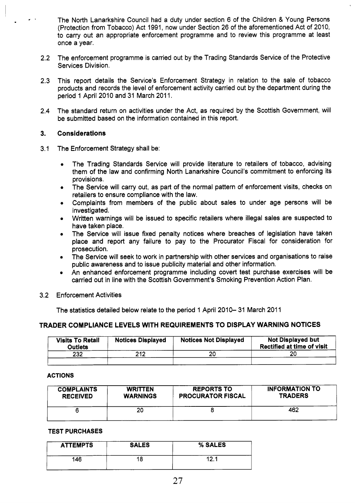The North Lanarkshire Council had a duty under section 6 of the Children & Young Persons (Protection from Tobacco) Act 1991, now under Section 26 of the aforementioned Act of 2010, to carry out an appropriate enforcement programme and to review this programme at least once a year.

- 2.2 The enforcement programme is carried out by the Trading Standards Service of the Protective Services Division.
- 2.3 This report details the Service's Enforcement Strategy in relation to the sale of tobacco products and records the level of enforcement activity carried out by the department during the period 1 April 2010 and 31 March 2011.
- 2.4 The standard return on activities under the Act, as required by the Scottish Government, will be submitted based on the information contained in this report.

#### **3. Considerations**

- 3.1 The Enforcement Strategy shall be:
	- The Trading Standards Service will provide literature to retailers of tobacco, advising  $\bullet$ them of the law and confirming North Lanarkshire Council's commitment to enforcing its provisions.
	- The Service will carry out, as part of the normal pattern of enforcement visits, checks on  $\bullet$ retailers to ensure compliance with the law.
	- Complaints from members of the public about sales to under age persons will be investigated.
	- Written warnings will be issued to specific retailers where illegal sales are suspected to have taken place.
	- The Service will issue fixed penalty notices where breaches of legislation have taken place and report any failure to pay to the Procurator Fiscal for consideration for prosecution.
	- The Service will seek to work in partnership with other services and organisations to raise public awareness and to issue publicity material and other information.
	- An enhanced enforcement programme including covert test purchase exercises will be carried out in line with the Scottish Government's Smoking Prevention Action Plan.
- 3.2 Enforcement Activities

The statistics detailed below relate to the period 1 April 2010–31 March 2011

## **TRADER COMPLIANCE LEVELS WITH REQUIREMENTS TO DISPLAY WARNING NOTICES**

| <b>Visits To Retail</b><br>Outlets | <b>Notices Displayed</b> | <b>Notices Not Displayed</b> | <b>Not Displayed but</b><br><b>Rectified at time of visit</b> |
|------------------------------------|--------------------------|------------------------------|---------------------------------------------------------------|
| 232                                | 212                      | 20                           | 20                                                            |
|                                    |                          |                              |                                                               |

### **ACTIONS**

| <b>COMPLAINTS</b> | <b>WRITTEN</b>  | <b>REPORTS TO</b>        | <b>INFORMATION TO</b> |
|-------------------|-----------------|--------------------------|-----------------------|
| <b>RECEIVED</b>   | <b>WARNINGS</b> | <b>PROCURATOR FISCAL</b> | <b>TRADERS</b>        |
|                   | 20              |                          | 462                   |

### **TEST PURCHASES**

| <b>ATTEMPTS</b> | <b>SALES</b> | % SALES |
|-----------------|--------------|---------|
| 146             | 18           |         |